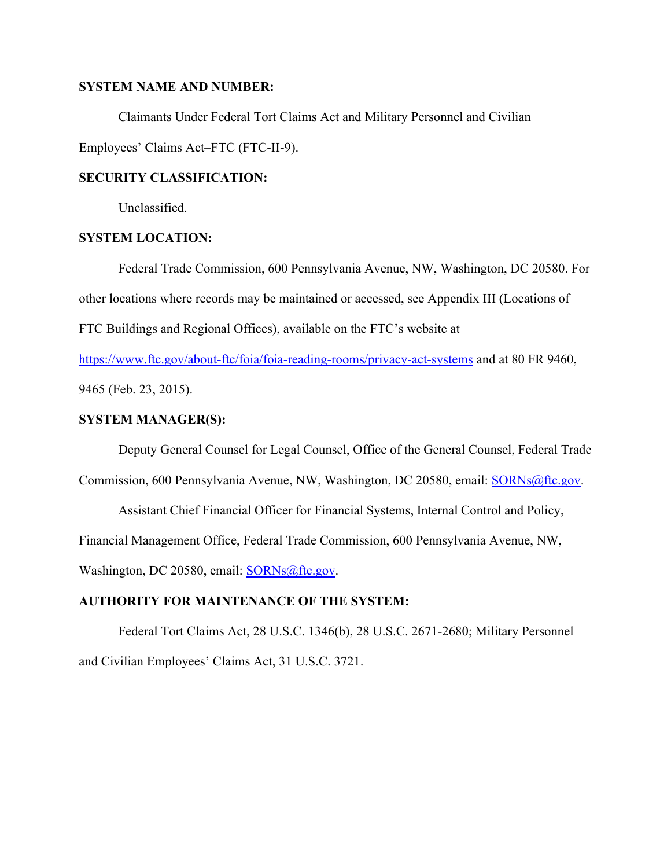#### **SYSTEM NAME AND NUMBER:**

Claimants Under Federal Tort Claims Act and Military Personnel and Civilian Employees' Claims Act–FTC (FTC-II-9).

## **SECURITY CLASSIFICATION:**

Unclassified.

#### **SYSTEM LOCATION:**

Federal Trade Commission, 600 Pennsylvania Avenue, NW, Washington, DC 20580. For other locations where records may be maintained or accessed, see Appendix III (Locations of FTC Buildings and Regional Offices), available on the FTC's website at

https://www.ftc.gov/about-ftc/foia/foia-reading-rooms/privacy-act-systems and at 80 FR 9460, 9465 (Feb. 23, 2015).

### **SYSTEM MANAGER(S):**

Deputy General Counsel for Legal Counsel, Office of the General Counsel, Federal Trade

Commission, 600 Pennsylvania Avenue, NW, Washington, DC 20580, email: SORNs@ftc.gov.

Assistant Chief Financial Officer for Financial Systems, Internal Control and Policy,

Financial Management Office, Federal Trade Commission, 600 Pennsylvania Avenue, NW,

Washington, DC 20580, email: **SORNs@ftc.gov.** 

#### **AUTHORITY FOR MAINTENANCE OF THE SYSTEM:**

Federal Tort Claims Act, 28 U.S.C. 1346(b), 28 U.S.C. 2671-2680; Military Personnel and Civilian Employees' Claims Act, 31 U.S.C. 3721.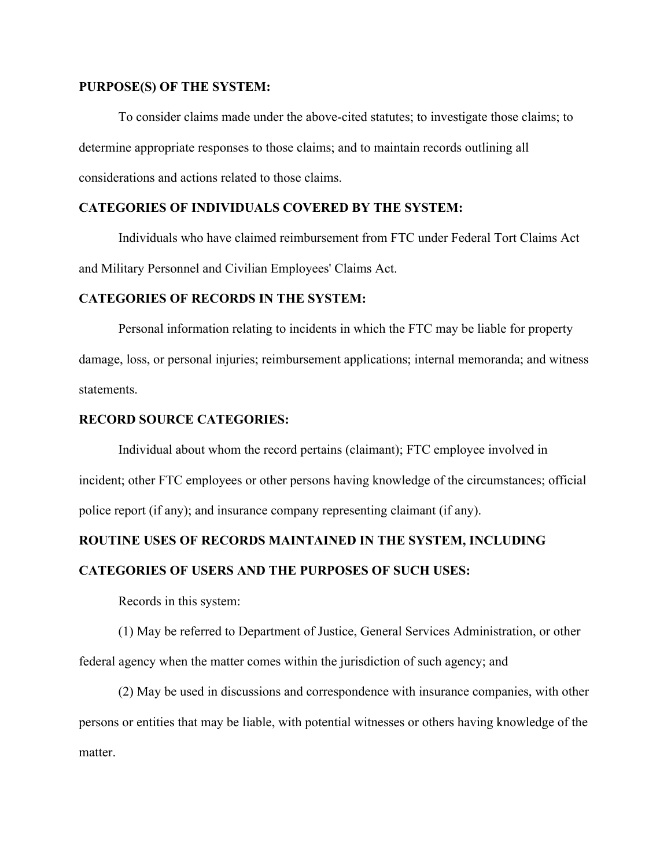#### **PURPOSE(S) OF THE SYSTEM:**

To consider claims made under the above-cited statutes; to investigate those claims; to determine appropriate responses to those claims; and to maintain records outlining all considerations and actions related to those claims.

## **CATEGORIES OF INDIVIDUALS COVERED BY THE SYSTEM:**

Individuals who have claimed reimbursement from FTC under Federal Tort Claims Act and Military Personnel and Civilian Employees' Claims Act.

## **CATEGORIES OF RECORDS IN THE SYSTEM:**

Personal information relating to incidents in which the FTC may be liable for property damage, loss, or personal injuries; reimbursement applications; internal memoranda; and witness statements.

#### **RECORD SOURCE CATEGORIES:**

Individual about whom the record pertains (claimant); FTC employee involved in incident; other FTC employees or other persons having knowledge of the circumstances; official police report (if any); and insurance company representing claimant (if any).

# **ROUTINE USES OF RECORDS MAINTAINED IN THE SYSTEM, INCLUDING CATEGORIES OF USERS AND THE PURPOSES OF SUCH USES:**

Records in this system:

(1) May be referred to Department of Justice, General Services Administration, or other federal agency when the matter comes within the jurisdiction of such agency; and

(2) May be used in discussions and correspondence with insurance companies, with other persons or entities that may be liable, with potential witnesses or others having knowledge of the matter.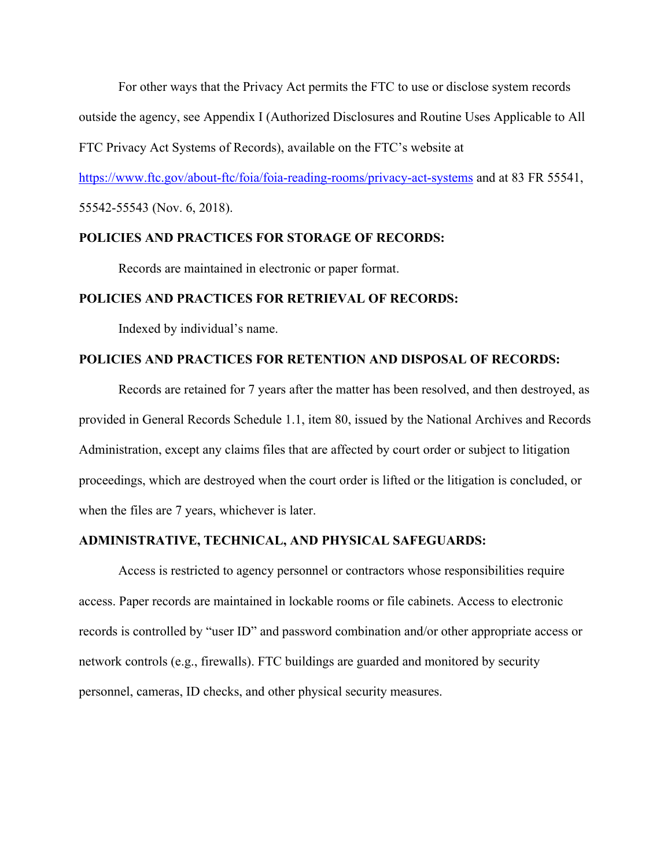For other ways that the Privacy Act permits the FTC to use or disclose system records outside the agency, see Appendix I (Authorized Disclosures and Routine Uses Applicable to All

FTC Privacy Act Systems of Records), available on the FTC's website at

https://www.ftc.gov/about-ftc/foia/foia-reading-rooms/privacy-act-systems and at 83 FR 55541,

55542-55543 (Nov. 6, 2018).

### **POLICIES AND PRACTICES FOR STORAGE OF RECORDS:**

Records are maintained in electronic or paper format.

## **POLICIES AND PRACTICES FOR RETRIEVAL OF RECORDS:**

Indexed by individual's name.

### **POLICIES AND PRACTICES FOR RETENTION AND DISPOSAL OF RECORDS:**

Records are retained for 7 years after the matter has been resolved, and then destroyed, as provided in General Records Schedule 1.1, item 80, issued by the National Archives and Records Administration, except any claims files that are affected by court order or subject to litigation proceedings, which are destroyed when the court order is lifted or the litigation is concluded, or when the files are 7 years, whichever is later.

#### **ADMINISTRATIVE, TECHNICAL, AND PHYSICAL SAFEGUARDS:**

Access is restricted to agency personnel or contractors whose responsibilities require access. Paper records are maintained in lockable rooms or file cabinets. Access to electronic records is controlled by "user ID" and password combination and/or other appropriate access or network controls (e.g., firewalls). FTC buildings are guarded and monitored by security personnel, cameras, ID checks, and other physical security measures.